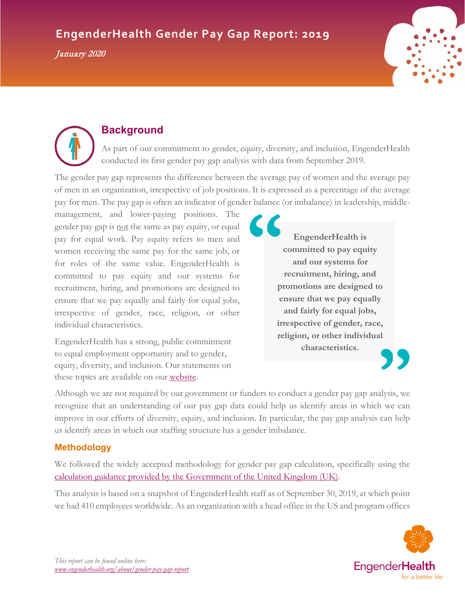# **EngenderHealth Gender Pay Gap Report: 2019**

January 2020





# **Background**

As part of our commitment to gender, equity, diversity, and inclusion, EngenderHealth conducted its first gender pay gap analysis with data from September 2019.

The gender pay gap represents the difference between the average pay of women and the average pay of men in an organization, irrespective of job positions. It is expressed as a percentage of the average pay for men. The pay gap is often an indicator of gender balance (or imbalance) in leadership, middle-

management, and lower-paying positions. The gender pay gap is not the same as pay equity, or equal pay for equal work. Pay equity refers to men and women receiving the same pay for the same job, or for roles of the same value. EngenderHealth is committed to pay equity and our systems for recruitment, hiring, and promotions are designed to ensure that we pay equally and fairly for equal jobs, irrespective of gender, race, religion, or other individual characteristics.

EngenderHealth has a strong, public commitment to equal employment opportunity and to gender, equity, diversity, and inclusion. Our statements on these topics are available on our [website.](https://www.engenderhealth.org/about/policies/)

**EngenderHealth is committed to pay equity and our systems for recruitment, hiring, and promotions are designed to ensure that we pay equally and fairly for equal jobs, irrespective of gender, race, religion, or other individual characteristics.**



Although we are not required by our government or funders to conduct a gender pay gap analysis, we recognize that an understanding of our pay gap data could help us identify areas in which we can improve in our efforts of diversity, equity, and inclusion. In particular, the pay gap analysis can help us identify areas in which our staffing structure has a gender imbalance.

# **Methodology**

We followed the widely accepted methodology for gender pay gap calculation, specifically using the calculation guidance provided by [the Government of the United Kingdom](https://www.gov.uk/guidance/gender-pay-gap-reporting-make-your-calculations) (UK).

This analysis is based on a snapshot of EngenderHealth staff as of September 30, 2019, at which point we had 410 employees worldwide. As an organization with a head office in the US and program offices

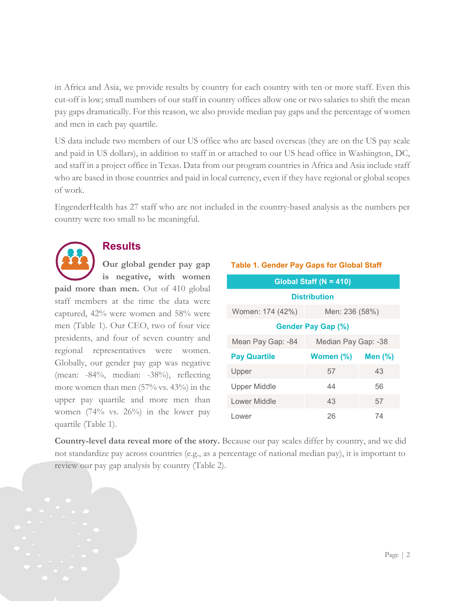in Africa and Asia, we provide results by country for each country with ten or more staff. Even this cut-off is low; small numbers of our staff in country offices allow one or two salaries to shift the mean pay gaps dramatically. For this reason, we also provide median pay gaps and the percentage of women and men in each pay quartile.

US data include two members of our US office who are based overseas (they are on the US pay scale and paid in US dollars), in addition to staff in or attached to our US head office in Washington, DC, and staff in a project office in Texas. Data from our program countries in Africa and Asia include staff who are based in those countries and paid in local currency, even if they have regional or global scopes of work.

EngenderHealth has 27 staff who are not included in the country-based analysis as the numbers per country were too small to be meaningful.



# **Results**

**Our global gender pay gap is negative, with women** 

**paid more than men.** Out of 410 global staff members at the time the data were captured, 42% were women and 58% were men (Table 1). Our CEO, two of four vice presidents, and four of seven country and regional representatives were women. Globally, our gender pay gap was negative (mean: -84%, median: -38%), reflecting more women than men (57% vs. 43%) in the upper pay quartile and more men than women (74% vs. 26%) in the lower pay quartile (Table 1).

| Global Staff ( $N = 410$ ) |                     |            |  |  |  |  |  |
|----------------------------|---------------------|------------|--|--|--|--|--|
| <b>Distribution</b>        |                     |            |  |  |  |  |  |
| Women: 174 (42%)           | Men: 236 (58%)      |            |  |  |  |  |  |
| <b>Gender Pay Gap (%)</b>  |                     |            |  |  |  |  |  |
| Mean Pay Gap: -84          | Median Pay Gap: -38 |            |  |  |  |  |  |
| <b>Pay Quartile</b>        | Women (%)           | Men $(\%)$ |  |  |  |  |  |
| Upper                      | 57                  | 43         |  |  |  |  |  |
| <b>Upper Middle</b>        | 44                  | 56         |  |  |  |  |  |
| Lower Middle               | 43                  | 57         |  |  |  |  |  |
| Lower                      | 26                  | 74         |  |  |  |  |  |

**Country-level data reveal more of the story.** Because our pay scales differ by country, and we did not standardize pay across countries (e.g., as a percentage of national median pay), it is important to review our pay gap analysis by country (Table 2).

#### **Table 1. Gender Pay Gaps for Global Staff**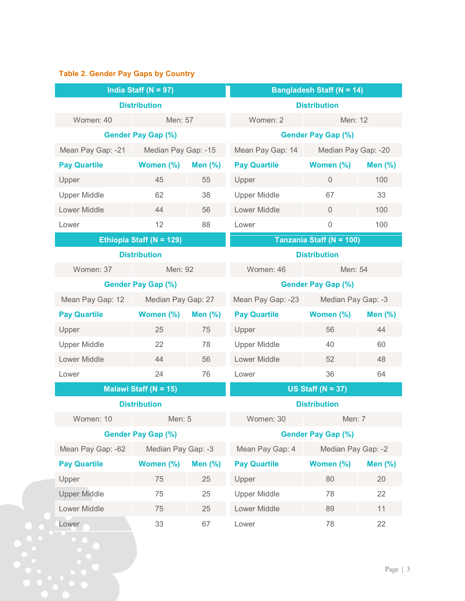# **Table 2. Gender Pay Gaps by Country**

| India Staff ( $N = 97$ )     |                     | <b>Bangladesh Staff (N = 14)</b> |                     |                     |                |  |
|------------------------------|---------------------|----------------------------------|---------------------|---------------------|----------------|--|
| <b>Distribution</b>          |                     | <b>Distribution</b>              |                     |                     |                |  |
| Women: 40                    | Men: 57             |                                  | Women: 2            | Men: 12             |                |  |
| <b>Gender Pay Gap (%)</b>    |                     | <b>Gender Pay Gap (%)</b>        |                     |                     |                |  |
| Mean Pay Gap: -21            | Median Pay Gap: -15 |                                  | Mean Pay Gap: 14    | Median Pay Gap: -20 |                |  |
| <b>Pay Quartile</b>          | Women (%)           | Men $(\%)$                       | <b>Pay Quartile</b> | Women (%)           | Men $(\%)$     |  |
| Upper                        | 45                  | 55                               | Upper               | $\mathbf 0$         | 100            |  |
| <b>Upper Middle</b>          | 62                  | 38                               | <b>Upper Middle</b> | 67                  | 33             |  |
| Lower Middle                 | 44                  | 56                               | Lower Middle        | $\overline{0}$      | 100            |  |
| Lower                        | 12                  | 88                               | Lower               | $\mathsf{O}\xspace$ | 100            |  |
| Ethiopia Staff (N = 129)     |                     | Tanzania Staff (N = 100)         |                     |                     |                |  |
| <b>Distribution</b>          |                     | <b>Distribution</b>              |                     |                     |                |  |
| Women: 37                    | Men: 92             |                                  | Women: 46           | Men: 54             |                |  |
| <b>Gender Pay Gap (%)</b>    |                     | <b>Gender Pay Gap (%)</b>        |                     |                     |                |  |
| Mean Pay Gap: 12             | Median Pay Gap: 27  |                                  | Mean Pay Gap: -23   | Median Pay Gap: -3  |                |  |
| <b>Pay Quartile</b>          | Women (%)           | <b>Men (%)</b>                   | <b>Pay Quartile</b> | Women (%)           | <b>Men (%)</b> |  |
| Upper                        | 25                  | 75                               | Upper               | 56                  | 44             |  |
| <b>Upper Middle</b>          | 22                  | 78                               | <b>Upper Middle</b> | 40                  | 60             |  |
| Lower Middle                 | 44                  | 56                               | Lower Middle        | 52                  | 48             |  |
| Lower                        | 24                  | 76                               | Lower               | 36                  | 64             |  |
| <b>Malawi Staff (N = 15)</b> |                     | US Staff ( $N = 37$ )            |                     |                     |                |  |
| <b>Distribution</b>          |                     | <b>Distribution</b>              |                     |                     |                |  |
| Women: 10                    | Men: 5              |                                  | Women: 30<br>Men: 7 |                     |                |  |
| <b>Gender Pay Gap (%)</b>    |                     | <b>Gender Pay Gap (%)</b>        |                     |                     |                |  |
| Mean Pay Gap: -62            | Median Pay Gap: -3  |                                  | Mean Pay Gap: 4     | Median Pay Gap: -2  |                |  |
| <b>Pay Quartile</b>          | Women (%)           | <b>Men (%)</b>                   | <b>Pay Quartile</b> | Women (%)           | <b>Men (%)</b> |  |
| Upper                        | 75                  | 25                               | Upper               | 80                  | 20             |  |
| <b>Upper Middle</b>          | 75                  | 25                               | <b>Upper Middle</b> | 78                  | 22             |  |
| Lower Middle                 | 75                  | 25                               | Lower Middle        | 89                  | 11             |  |
| Lower                        | 33                  | 67                               | Lower               | 78                  | 22             |  |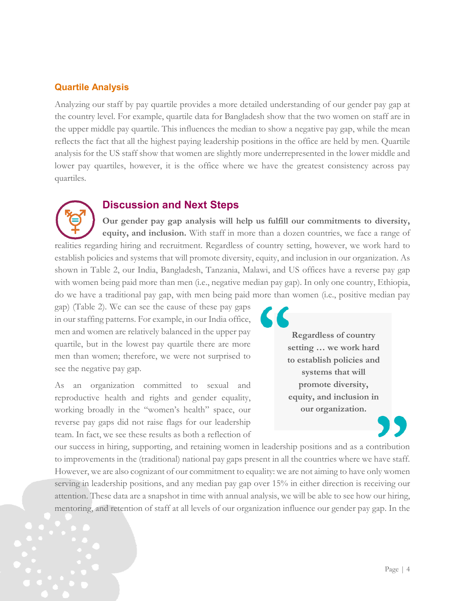### **Quartile Analysis**

Analyzing our staff by pay quartile provides a more detailed understanding of our gender pay gap at the country level. For example, quartile data for Bangladesh show that the two women on staff are in the upper middle pay quartile. This influences the median to show a negative pay gap, while the mean reflects the fact that all the highest paying leadership positions in the office are held by men. Quartile analysis for the US staff show that women are slightly more underrepresented in the lower middle and lower pay quartiles, however, it is the office where we have the greatest consistency across pay quartiles.

### **Discussion and Next Steps**

**Our gender pay gap analysis will help us fulfill our commitments to diversity, equity, and inclusion.** With staff in more than a dozen countries, we face a range of realities regarding hiring and recruitment. Regardless of country setting, however, we work hard to establish policies and systems that will promote diversity, equity, and inclusion in our organization. As shown in Table 2, our India, Bangladesh, Tanzania, Malawi, and US offices have a reverse pay gap with women being paid more than men (i.e., negative median pay gap). In only one country, Ethiopia, do we have a traditional pay gap, with men being paid more than women (i.e., positive median pay

gap) (Table 2). We can see the cause of these pay gaps in our staffing patterns. For example, in our India office, men and women are relatively balanced in the upper pay quartile, but in the lowest pay quartile there are more men than women; therefore, we were not surprised to see the negative pay gap.

As an organization committed to sexual and reproductive health and rights and gender equality, working broadly in the "women's health" space, our reverse pay gaps did not raise flags for our leadership team. In fact, we see these results as both a reflection of

**Regardless of country setting … we work hard to establish policies and systems that will promote diversity, equity, and inclusion in our organization.**

our success in hiring, supporting, and retaining women in leadership positions and as a contribution to improvements in the (traditional) national pay gaps present in all the countries where we have staff. However, we are also cognizant of our commitment to equality: we are not aiming to have only women serving in leadership positions, and any median pay gap over 15% in either direction is receiving our attention. These data are a snapshot in time with annual analysis, we will be able to see how our hiring, mentoring, and retention of staff at all levels of our organization influence our gender pay gap. In the